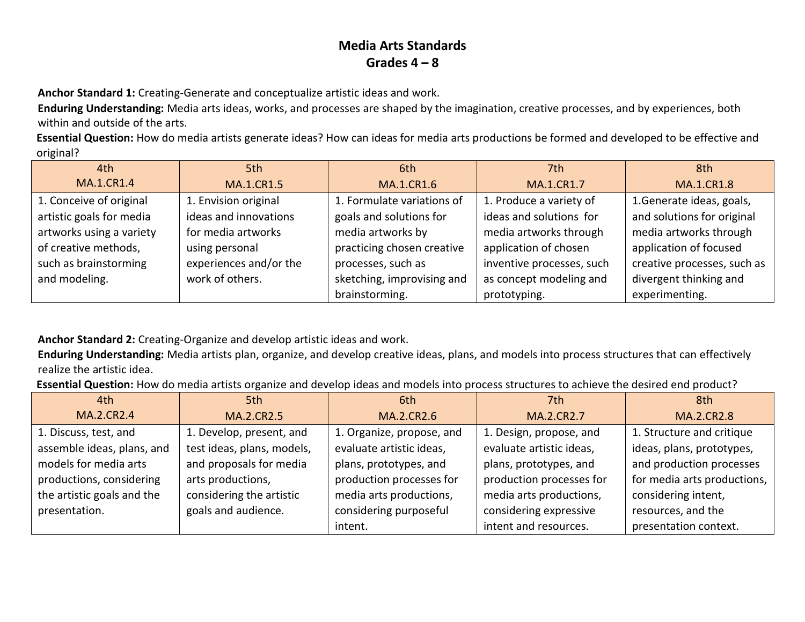**Anchor Standard 1:** Creating-Generate and conceptualize artistic ideas and work.

**Enduring Understanding:** Media arts ideas, works, and processes are shaped by the imagination, creative processes, and by experiences, both within and outside of the arts.

**Essential Question:** How do media artists generate ideas? How can ideas for media arts productions be formed and developed to be effective and original?

| 4th                      | 5th                    | 6th                        | 7th                       | 8th                         |
|--------------------------|------------------------|----------------------------|---------------------------|-----------------------------|
| <b>MA.1.CR1.4</b>        | <b>MA.1.CR1.5</b>      | <b>MA.1.CR1.6</b>          | MA.1.CR1.7                | <b>MA.1.CR1.8</b>           |
| 1. Conceive of original  | 1. Envision original   | 1. Formulate variations of | 1. Produce a variety of   | 1. Generate ideas, goals,   |
| artistic goals for media | ideas and innovations  | goals and solutions for    | ideas and solutions for   | and solutions for original  |
| artworks using a variety | for media artworks     | media artworks by          | media artworks through    | media artworks through      |
| of creative methods,     | using personal         | practicing chosen creative | application of chosen     | application of focused      |
| such as brainstorming    | experiences and/or the | processes, such as         | inventive processes, such | creative processes, such as |
| and modeling.            | work of others.        | sketching, improvising and | as concept modeling and   | divergent thinking and      |
|                          |                        | brainstorming.             | prototyping.              | experimenting.              |

**Anchor Standard 2:** Creating-Organize and develop artistic ideas and work.

**Enduring Understanding:** Media artists plan, organize, and develop creative ideas, plans, and models into process structures that can effectively realize the artistic idea.

**Essential Question:** How do media artists organize and develop ideas and models into process structures to achieve the desired end product?

| 4th                        | 5th                        | 6th                       | 7th                      | 8th                         |
|----------------------------|----------------------------|---------------------------|--------------------------|-----------------------------|
| MA.2.CR2.4                 | <b>MA.2.CR2.5</b>          | MA.2.CR2.6                | MA.2.CR2.7               | MA.2.CR2.8                  |
| 1. Discuss, test, and      | 1. Develop, present, and   | 1. Organize, propose, and | 1. Design, propose, and  | 1. Structure and critique   |
| assemble ideas, plans, and | test ideas, plans, models, | evaluate artistic ideas,  | evaluate artistic ideas, | ideas, plans, prototypes,   |
| models for media arts      | and proposals for media    | plans, prototypes, and    | plans, prototypes, and   | and production processes    |
| productions, considering   | arts productions,          | production processes for  | production processes for | for media arts productions, |
| the artistic goals and the | considering the artistic   | media arts productions,   | media arts productions,  | considering intent,         |
| presentation.              | goals and audience.        | considering purposeful    | considering expressive   | resources, and the          |
|                            |                            | intent.                   | intent and resources.    | presentation context.       |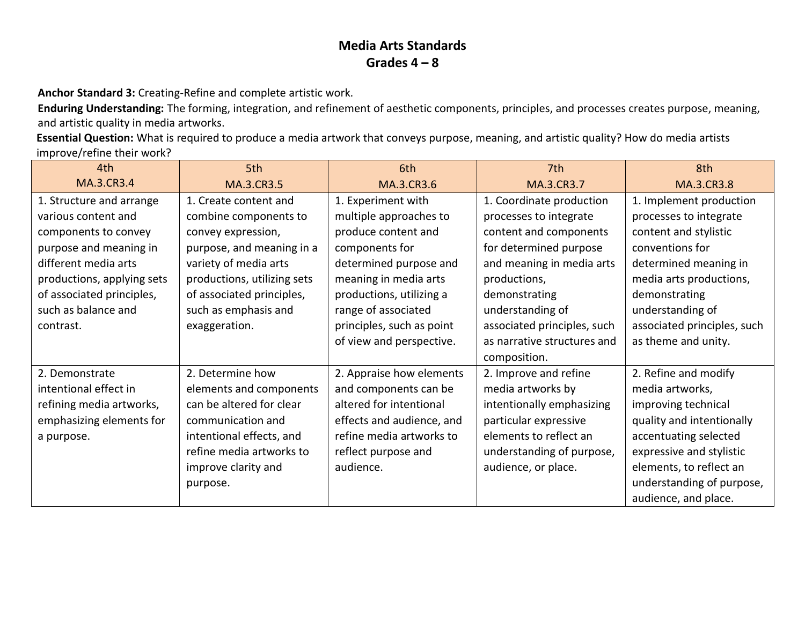**Anchor Standard 3:** Creating-Refine and complete artistic work.

**Enduring Understanding:** The forming, integration, and refinement of aesthetic components, principles, and processes creates purpose, meaning, and artistic quality in media artworks.

**Essential Question:** What is required to produce a media artwork that conveys purpose, meaning, and artistic quality? How do media artists improve/refine their work?

| 4th                        | 5th                         | 6th                       | 7th                         | 8th                         |
|----------------------------|-----------------------------|---------------------------|-----------------------------|-----------------------------|
| <b>MA.3.CR3.4</b>          | MA.3.CR3.5                  | MA.3.CR3.6                | MA.3.CR3.7                  | MA.3.CR3.8                  |
| 1. Structure and arrange   | 1. Create content and       | 1. Experiment with        | 1. Coordinate production    | 1. Implement production     |
| various content and        | combine components to       | multiple approaches to    | processes to integrate      | processes to integrate      |
| components to convey       | convey expression,          | produce content and       | content and components      | content and stylistic       |
| purpose and meaning in     | purpose, and meaning in a   | components for            | for determined purpose      | conventions for             |
| different media arts       | variety of media arts       | determined purpose and    | and meaning in media arts   | determined meaning in       |
| productions, applying sets | productions, utilizing sets | meaning in media arts     | productions,                | media arts productions,     |
| of associated principles,  | of associated principles,   | productions, utilizing a  | demonstrating               | demonstrating               |
| such as balance and        | such as emphasis and        | range of associated       | understanding of            | understanding of            |
| contrast.                  | exaggeration.               | principles, such as point | associated principles, such | associated principles, such |
|                            |                             | of view and perspective.  | as narrative structures and | as theme and unity.         |
|                            |                             |                           | composition.                |                             |
| 2. Demonstrate             | 2. Determine how            | 2. Appraise how elements  | 2. Improve and refine       | 2. Refine and modify        |
| intentional effect in      | elements and components     | and components can be     | media artworks by           | media artworks,             |
| refining media artworks,   | can be altered for clear    | altered for intentional   | intentionally emphasizing   | improving technical         |
| emphasizing elements for   | communication and           | effects and audience, and | particular expressive       | quality and intentionally   |
| a purpose.                 | intentional effects, and    | refine media artworks to  | elements to reflect an      | accentuating selected       |
|                            | refine media artworks to    | reflect purpose and       | understanding of purpose,   | expressive and stylistic    |
|                            | improve clarity and         | audience.                 | audience, or place.         | elements, to reflect an     |
|                            | purpose.                    |                           |                             | understanding of purpose,   |
|                            |                             |                           |                             | audience, and place.        |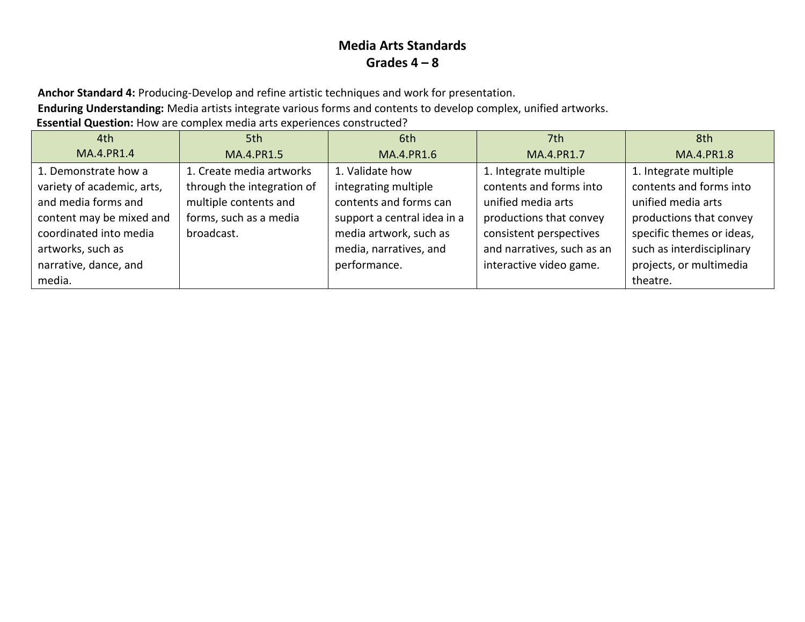**Anchor Standard 4:** Producing-Develop and refine artistic techniques and work for presentation.

**Enduring Understanding:** Media artists integrate various forms and contents to develop complex, unified artworks.

**Essential Question:** How are complex media arts experiences constructed?

| 4th                        | 5th                        | 6th                         | 7th                        | 8th                       |
|----------------------------|----------------------------|-----------------------------|----------------------------|---------------------------|
| MA.4.PR1.4                 | MA.4.PR1.5                 | MA.4.PR1.6                  | MA.4.PR1.7                 | MA.4.PR1.8                |
| 1. Demonstrate how a       | 1. Create media artworks   | 1. Validate how             | 1. Integrate multiple      | 1. Integrate multiple     |
| variety of academic, arts, | through the integration of | integrating multiple        | contents and forms into    | contents and forms into   |
| and media forms and        | multiple contents and      | contents and forms can      | unified media arts         | unified media arts        |
| content may be mixed and   | forms, such as a media     | support a central idea in a | productions that convey    | productions that convey   |
| coordinated into media     | broadcast.                 | media artwork, such as      | consistent perspectives    | specific themes or ideas, |
| artworks, such as          |                            | media, narratives, and      | and narratives, such as an | such as interdisciplinary |
| narrative, dance, and      |                            | performance.                | interactive video game.    | projects, or multimedia   |
| media.                     |                            |                             |                            | theatre.                  |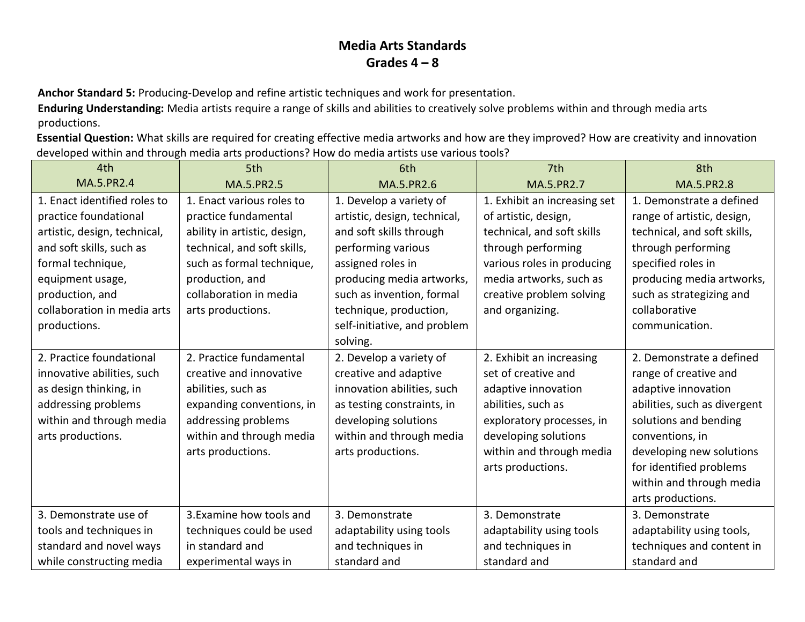**Anchor Standard 5:** Producing-Develop and refine artistic techniques and work for presentation.

**Enduring Understanding:** Media artists require a range of skills and abilities to creatively solve problems within and through media arts productions.

**Essential Question:** What skills are required for creating effective media artworks and how are they improved? How are creativity and innovation developed within and through media arts productions? How do media artists use various tools?

| 4th                          | 5th                          | 6th                          | 7th                          | 8th                          |
|------------------------------|------------------------------|------------------------------|------------------------------|------------------------------|
| MA.5.PR2.4                   | <b>MA.5.PR2.5</b>            | MA.5.PR2.6                   | MA.5.PR2.7                   | <b>MA.5.PR2.8</b>            |
| 1. Enact identified roles to | 1. Enact various roles to    | 1. Develop a variety of      | 1. Exhibit an increasing set | 1. Demonstrate a defined     |
| practice foundational        | practice fundamental         | artistic, design, technical, | of artistic, design,         | range of artistic, design,   |
| artistic, design, technical, | ability in artistic, design, | and soft skills through      | technical, and soft skills   | technical, and soft skills,  |
| and soft skills, such as     | technical, and soft skills,  | performing various           | through performing           | through performing           |
| formal technique,            | such as formal technique,    | assigned roles in            | various roles in producing   | specified roles in           |
| equipment usage,             | production, and              | producing media artworks,    | media artworks, such as      | producing media artworks,    |
| production, and              | collaboration in media       | such as invention, formal    | creative problem solving     | such as strategizing and     |
| collaboration in media arts  | arts productions.            | technique, production,       | and organizing.              | collaborative                |
| productions.                 |                              | self-initiative, and problem |                              | communication.               |
|                              |                              | solving.                     |                              |                              |
| 2. Practice foundational     | 2. Practice fundamental      | 2. Develop a variety of      | 2. Exhibit an increasing     | 2. Demonstrate a defined     |
| innovative abilities, such   | creative and innovative      | creative and adaptive        | set of creative and          | range of creative and        |
| as design thinking, in       | abilities, such as           | innovation abilities, such   | adaptive innovation          | adaptive innovation          |
| addressing problems          | expanding conventions, in    | as testing constraints, in   | abilities, such as           | abilities, such as divergent |
| within and through media     | addressing problems          | developing solutions         | exploratory processes, in    | solutions and bending        |
| arts productions.            | within and through media     | within and through media     | developing solutions         | conventions, in              |
|                              | arts productions.            | arts productions.            | within and through media     | developing new solutions     |
|                              |                              |                              | arts productions.            | for identified problems      |
|                              |                              |                              |                              | within and through media     |
|                              |                              |                              |                              | arts productions.            |
| 3. Demonstrate use of        | 3. Examine how tools and     | 3. Demonstrate               | 3. Demonstrate               | 3. Demonstrate               |
| tools and techniques in      | techniques could be used     | adaptability using tools     | adaptability using tools     | adaptability using tools,    |
| standard and novel ways      | in standard and              | and techniques in            | and techniques in            | techniques and content in    |
| while constructing media     | experimental ways in         | standard and                 | standard and                 | standard and                 |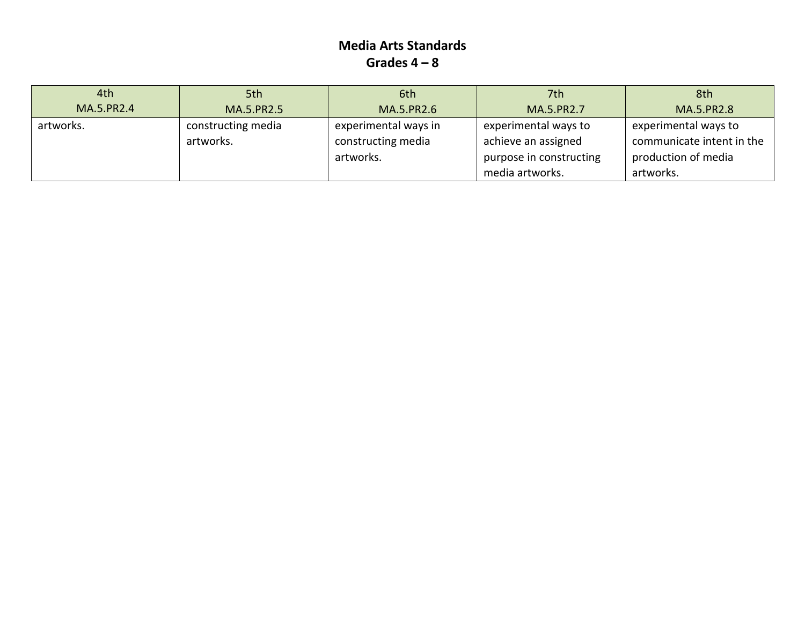| 4th        | 5th                             | 6th                                        | 7th                                         | 8th                                               |
|------------|---------------------------------|--------------------------------------------|---------------------------------------------|---------------------------------------------------|
| MA.5.PR2.4 | MA.5.PR2.5                      | MA.5.PR2.6                                 | MA.5.PR2.7                                  | MA.5.PR2.8                                        |
| artworks.  | constructing media<br>artworks. | experimental ways in<br>constructing media | experimental ways to<br>achieve an assigned | experimental ways to<br>communicate intent in the |
|            |                                 | artworks.                                  | purpose in constructing                     | production of media                               |
|            |                                 |                                            | media artworks.                             | artworks.                                         |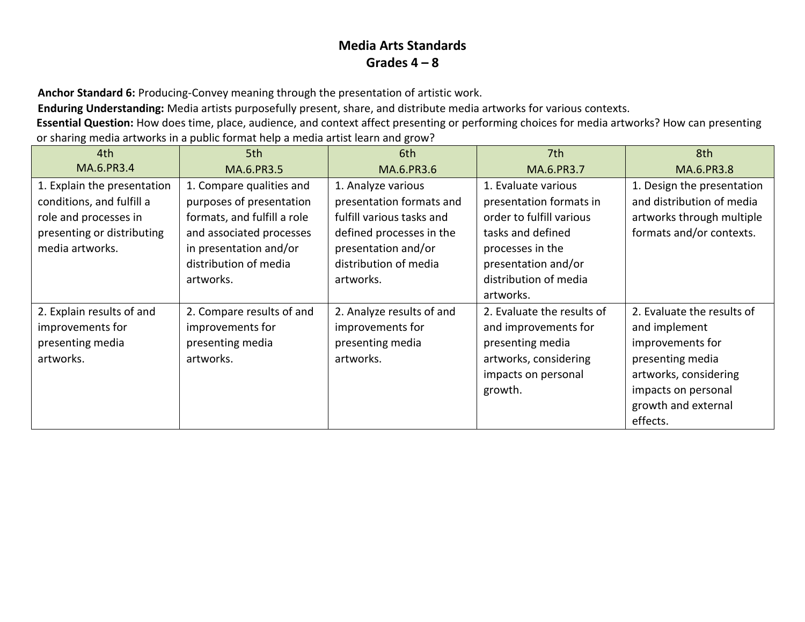**Anchor Standard 6:** Producing-Convey meaning through the presentation of artistic work.

**Enduring Understanding:** Media artists purposefully present, share, and distribute media artworks for various contexts.

**Essential Question:** How does time, place, audience, and context affect presenting or performing choices for media artworks? How can presenting or sharing media artworks in a public format help a media artist learn and grow?

| 4th                         | 5th                         | 6th                       | 7th                        | 8th                        |
|-----------------------------|-----------------------------|---------------------------|----------------------------|----------------------------|
| MA.6.PR3.4                  | MA.6.PR3.5                  | MA.6.PR3.6                | MA.6.PR3.7                 | MA.6.PR3.8                 |
| 1. Explain the presentation | 1. Compare qualities and    | 1. Analyze various        | 1. Evaluate various        | 1. Design the presentation |
| conditions, and fulfill a   | purposes of presentation    | presentation formats and  | presentation formats in    | and distribution of media  |
| role and processes in       | formats, and fulfill a role | fulfill various tasks and | order to fulfill various   | artworks through multiple  |
| presenting or distributing  | and associated processes    | defined processes in the  | tasks and defined          | formats and/or contexts.   |
| media artworks.             | in presentation and/or      | presentation and/or       | processes in the           |                            |
|                             | distribution of media       | distribution of media     | presentation and/or        |                            |
|                             | artworks.                   | artworks.                 | distribution of media      |                            |
|                             |                             |                           | artworks.                  |                            |
| 2. Explain results of and   | 2. Compare results of and   | 2. Analyze results of and | 2. Evaluate the results of | 2. Evaluate the results of |
| improvements for            | improvements for            | improvements for          | and improvements for       | and implement              |
| presenting media            | presenting media            | presenting media          | presenting media           | improvements for           |
| artworks.                   | artworks.                   | artworks.                 | artworks, considering      | presenting media           |
|                             |                             |                           | impacts on personal        | artworks, considering      |
|                             |                             |                           | growth.                    | impacts on personal        |
|                             |                             |                           |                            | growth and external        |
|                             |                             |                           |                            | effects.                   |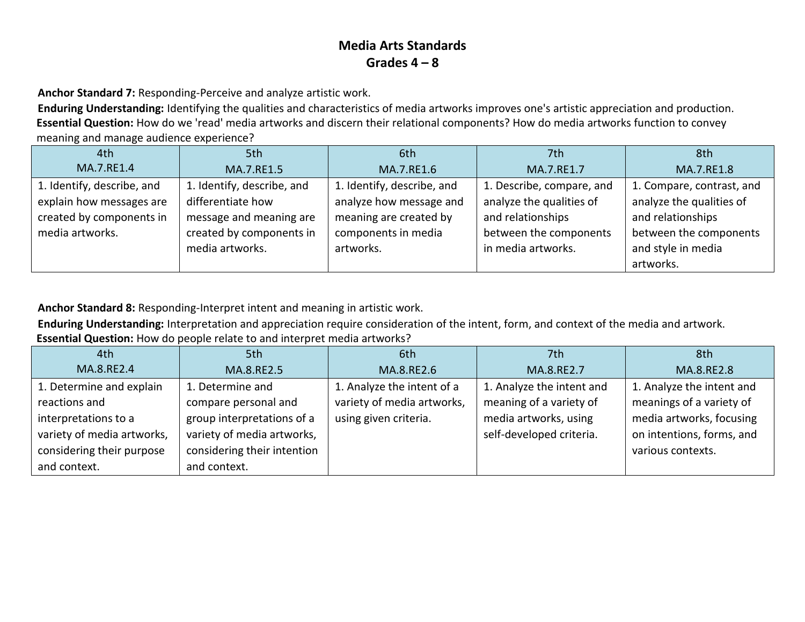**Anchor Standard 7:** Responding-Perceive and analyze artistic work.

**Enduring Understanding:** Identifying the qualities and characteristics of media artworks improves one's artistic appreciation and production. **Essential Question:** How do we 'read' media artworks and discern their relational components? How do media artworks function to convey meaning and manage audience experience?

| 4th                        | 5th                        | 6th                        | 7th                       | 8th                       |
|----------------------------|----------------------------|----------------------------|---------------------------|---------------------------|
| MA.7.RE1.4                 | MA.7.RE1.5                 | MA.7.RE1.6                 | MA.7.RE1.7                | MA.7.RE1.8                |
| 1. Identify, describe, and | 1. Identify, describe, and | 1. Identify, describe, and | 1. Describe, compare, and | 1. Compare, contrast, and |
| explain how messages are   | differentiate how          | analyze how message and    | analyze the qualities of  | analyze the qualities of  |
| created by components in   | message and meaning are    | meaning are created by     | and relationships         | and relationships         |
| media artworks.            | created by components in   | components in media        | between the components    | between the components    |
|                            | media artworks.            | artworks.                  | in media artworks.        | and style in media        |
|                            |                            |                            |                           | artworks.                 |

**Anchor Standard 8:** Responding-Interpret intent and meaning in artistic work.

**Enduring Understanding:** Interpretation and appreciation require consideration of the intent, form, and context of the media and artwork.

#### **Essential Question:** How do people relate to and interpret media artworks?

| 4th                        | 5th                         | 6th                        | 7th                       | 8th                       |
|----------------------------|-----------------------------|----------------------------|---------------------------|---------------------------|
| MA.8.RE2.4                 | MA.8.RE2.5                  | MA.8.RE2.6                 | MA.8.RE2.7                | MA.8.RE2.8                |
| 1. Determine and explain   | 1. Determine and            | 1. Analyze the intent of a | 1. Analyze the intent and | 1. Analyze the intent and |
| reactions and              | compare personal and        | variety of media artworks, | meaning of a variety of   | meanings of a variety of  |
| interpretations to a       | group interpretations of a  | using given criteria.      | media artworks, using     | media artworks, focusing  |
| variety of media artworks, | variety of media artworks,  |                            | self-developed criteria.  | on intentions, forms, and |
| considering their purpose  | considering their intention |                            |                           | various contexts.         |
| and context.               | and context.                |                            |                           |                           |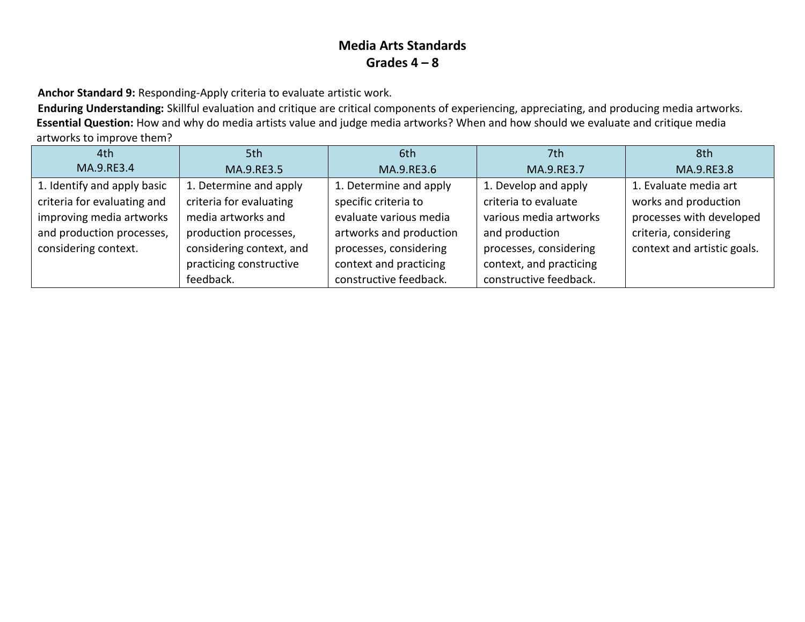**Anchor Standard 9:** Responding-Apply criteria to evaluate artistic work.

**Enduring Understanding:** Skillful evaluation and critique are critical components of experiencing, appreciating, and producing media artworks. **Essential Question:** How and why do media artists value and judge media artworks? When and how should we evaluate and critique media artworks to improve them?

| 4th                         | 5th                      | 6th                     | 7th                     | 8th                         |
|-----------------------------|--------------------------|-------------------------|-------------------------|-----------------------------|
| MA.9.RE3.4                  | MA.9.RE3.5               | MA.9.RE3.6              | MA.9.RE3.7              | MA.9.RE3.8                  |
| 1. Identify and apply basic | 1. Determine and apply   | 1. Determine and apply  | 1. Develop and apply    | 1. Evaluate media art       |
| criteria for evaluating and | criteria for evaluating  | specific criteria to    | criteria to evaluate    | works and production        |
| improving media artworks    | media artworks and       | evaluate various media  | various media artworks  | processes with developed    |
| and production processes,   | production processes,    | artworks and production | and production          | criteria, considering       |
| considering context.        | considering context, and | processes, considering  | processes, considering  | context and artistic goals. |
|                             | practicing constructive  | context and practicing  | context, and practicing |                             |
|                             | feedback.                | constructive feedback.  | constructive feedback.  |                             |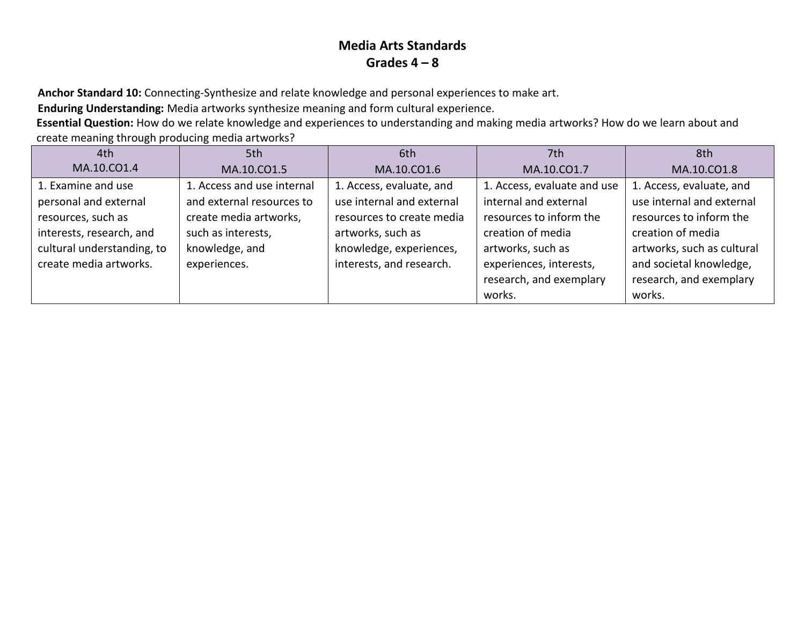**Anchor Standard 10:** Connecting-Synthesize and relate knowledge and personal experiences to make art.

**Enduring Understanding:** Media artworks synthesize meaning and form cultural experience.

**Essential Question:** How do we relate knowledge and experiences to understanding and making media artworks? How do we learn about and create meaning through producing media artworks?

| 4th                        | 5th                        | 6th                       | 7th                         | 8th                        |
|----------------------------|----------------------------|---------------------------|-----------------------------|----------------------------|
| MA.10.CO1.4                | MA.10.CO1.5                | MA.10.CO1.6               | MA.10.CO1.7                 | MA.10.CO1.8                |
| 1. Examine and use         | 1. Access and use internal | 1. Access, evaluate, and  | 1. Access, evaluate and use | 1. Access, evaluate, and   |
| personal and external      | and external resources to  | use internal and external | internal and external       | use internal and external  |
| resources, such as         | create media artworks,     | resources to create media | resources to inform the     | resources to inform the    |
| interests, research, and   | such as interests,         | artworks, such as         | creation of media           | creation of media          |
| cultural understanding, to | knowledge, and             | knowledge, experiences,   | artworks, such as           | artworks, such as cultural |
| create media artworks.     | experiences.               | interests, and research.  | experiences, interests,     | and societal knowledge,    |
|                            |                            |                           | research, and exemplary     | research, and exemplary    |
|                            |                            |                           | works.                      | works.                     |